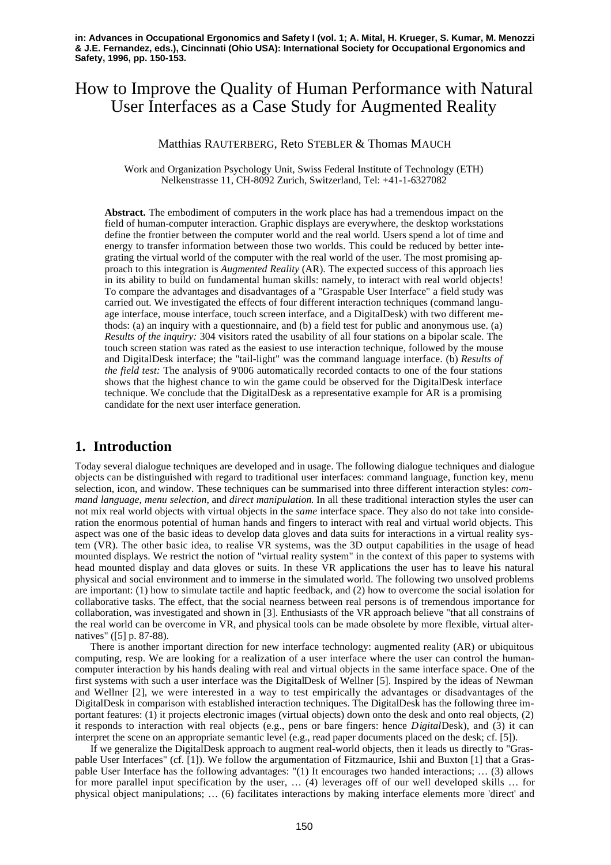# How to Improve the Quality of Human Performance with Natural User Interfaces as a Case Study for Augmented Reality

#### Matthias RAUTERBERG, Reto STEBLER & Thomas MAUCH

Work and Organization Psychology Unit, Swiss Federal Institute of Technology (ETH) Nelkenstrasse 11, CH-8092 Zurich, Switzerland, Tel: +41-1-6327082

**Abstract.** The embodiment of computers in the work place has had a tremendous impact on the field of human-computer interaction. Graphic displays are everywhere, the desktop workstations define the frontier between the computer world and the real world. Users spend a lot of time and energy to transfer information between those two worlds. This could be reduced by better integrating the virtual world of the computer with the real world of the user. The most promising approach to this integration is *Augmented Reality* (AR). The expected success of this approach lies in its ability to build on fundamental human skills: namely, to interact with real world objects! To compare the advantages and disadvantages of a "Graspable User Interface" a field study was carried out. We investigated the effects of four different interaction techniques (command language interface, mouse interface, touch screen interface, and a DigitalDesk) with two different methods: (a) an inquiry with a questionnaire, and (b) a field test for public and anonymous use. (a) *Results of the inquiry:* 304 visitors rated the usability of all four stations on a bipolar scale. The touch screen station was rated as the easiest to use interaction technique, followed by the mouse and DigitalDesk interface; the "tail-light" was the command language interface. (b) *Results of the field test:* The analysis of 9'006 automatically recorded contacts to one of the four stations shows that the highest chance to win the game could be observed for the DigitalDesk interface technique. We conclude that the DigitalDesk as a representative example for AR is a promising candidate for the next user interface generation.

## **1. Introduction**

Today several dialogue techniques are developed and in usage. The following dialogue techniques and dialogue objects can be distinguished with regard to traditional user interfaces: command language, function key, menu selection, icon, and window. These techniques can be summarised into three different interaction styles: *command language*, *menu selection*, and *direct manipulation*. In all these traditional interaction styles the user can not mix real world objects with virtual objects in the *same* interface space. They also do not take into consideration the enormous potential of human hands and fingers to interact with real and virtual world objects. This aspect was one of the basic ideas to develop data gloves and data suits for interactions in a virtual reality system (VR). The other basic idea, to realise VR systems, was the 3D output capabilities in the usage of head mounted displays. We restrict the notion of "virtual reality system" in the context of this paper to systems with head mounted display and data gloves or suits. In these VR applications the user has to leave his natural physical and social environment and to immerse in the simulated world. The following two unsolved problems are important: (1) how to simulate tactile and haptic feedback, and (2) how to overcome the social isolation for collaborative tasks. The effect, that the social nearness between real persons is of tremendous importance for collaboration, was investigated and shown in [3]. Enthusiasts of the VR approach believe "that all constrains of the real world can be overcome in VR, and physical tools can be made obsolete by more flexible, virtual alternatives" ([5] p. 87-88).

There is another important direction for new interface technology: augmented reality (AR) or ubiquitous computing, resp. We are looking for a realization of a user interface where the user can control the humancomputer interaction by his hands dealing with real and virtual objects in the same interface space. One of the first systems with such a user interface was the DigitalDesk of Wellner [5]. Inspired by the ideas of Newman and Wellner [2], we were interested in a way to test empirically the advantages or disadvantages of the DigitalDesk in comparison with established interaction techniques. The DigitalDesk has the following three important features: (1) it projects electronic images (virtual objects) down onto the desk and onto real objects, (2) it responds to interaction with real objects (e.g., pens or bare fingers: hence *Digital*Desk), and (3) it can interpret the scene on an appropriate semantic level (e.g., read paper documents placed on the desk; cf. [5]).

If we generalize the DigitalDesk approach to augment real-world objects, then it leads us directly to "Graspable User Interfaces" (cf. [1]). We follow the argumentation of Fitzmaurice, Ishii and Buxton [1] that a Graspable User Interface has the following advantages: "(1) It encourages two handed interactions; … (3) allows for more parallel input specification by the user, … (4) leverages off of our well developed skills … for physical object manipulations; … (6) facilitates interactions by making interface elements more 'direct' and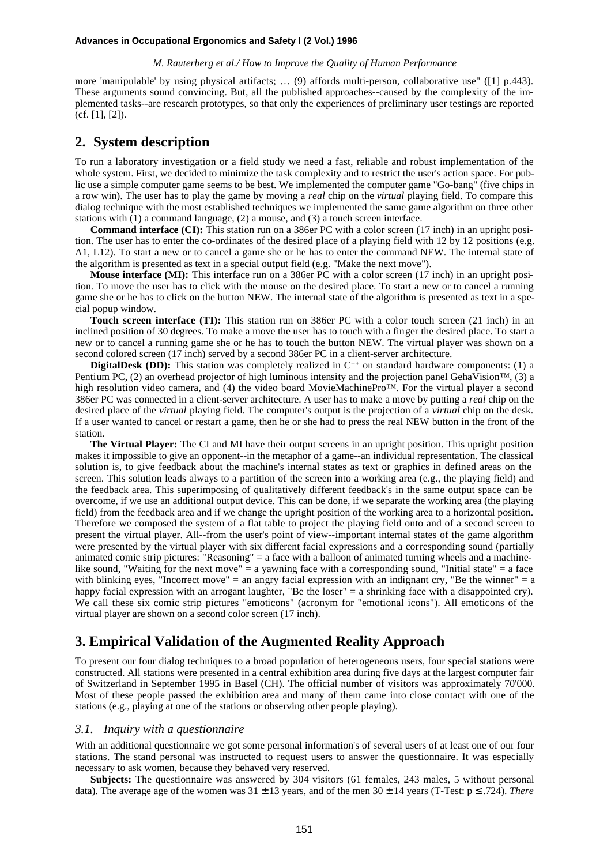#### **Advances in Occupational Ergonomics and Safety I (2 Vol.) 1996**

#### *M. Rauterberg et al./ How to Improve the Quality of Human Performance*

more 'manipulable' by using physical artifacts; … (9) affords multi-person, collaborative use" ([1] p.443). These arguments sound convincing. But, all the published approaches--caused by the complexity of the implemented tasks--are research prototypes, so that only the experiences of preliminary user testings are reported (cf. [1], [2]).

## **2. System description**

To run a laboratory investigation or a field study we need a fast, reliable and robust implementation of the whole system. First, we decided to minimize the task complexity and to restrict the user's action space. For public use a simple computer game seems to be best. We implemented the computer game "Go-bang" (five chips in a row win). The user has to play the game by moving a *real* chip on the *virtual* playing field. To compare this dialog technique with the most established techniques we implemented the same game algorithm on three other stations with (1) a command language, (2) a mouse, and (3) a touch screen interface.

**Command interface (CI):** This station run on a 386er PC with a color screen (17 inch) in an upright position. The user has to enter the co-ordinates of the desired place of a playing field with 12 by 12 positions (e.g. A1, L12). To start a new or to cancel a game she or he has to enter the command NEW. The internal state of the algorithm is presented as text in a special output field (e.g. "Make the next move").

**Mouse interface (MI):** This interface run on a 386er PC with a color screen (17 inch) in an upright position. To move the user has to click with the mouse on the desired place. To start a new or to cancel a running game she or he has to click on the button NEW. The internal state of the algorithm is presented as text in a special popup window.

**Touch screen interface (TI):** This station run on 386er PC with a color touch screen (21 inch) in an inclined position of 30 degrees. To make a move the user has to touch with a finger the desired place. To start a new or to cancel a running game she or he has to touch the button NEW. The virtual player was shown on a second colored screen (17 inch) served by a second 386er PC in a client-server architecture.

**DigitalDesk (DD):** This station was completely realized in  $C^{++}$  on standard hardware components: (1) a Pentium PC, (2) an overhead projector of high luminous intensity and the projection panel GehaVision<sup>™,</sup> (3) a high resolution video camera, and (4) the video board MovieMachinePro™. For the virtual player a second 386er PC was connected in a client-server architecture. A user has to make a move by putting a *real* chip on the desired place of the *virtual* playing field. The computer's output is the projection of a *virtual* chip on the desk. If a user wanted to cancel or restart a game, then he or she had to press the real NEW button in the front of the station.

**The Virtual Player:** The CI and MI have their output screens in an upright position. This upright position makes it impossible to give an opponent--in the metaphor of a game--an individual representation. The classical solution is, to give feedback about the machine's internal states as text or graphics in defined areas on the screen. This solution leads always to a partition of the screen into a working area (e.g., the playing field) and the feedback area. This superimposing of qualitatively different feedback's in the same output space can be overcome, if we use an additional output device. This can be done, if we separate the working area (the playing field) from the feedback area and if we change the upright position of the working area to a horizontal position. Therefore we composed the system of a flat table to project the playing field onto and of a second screen to present the virtual player. All--from the user's point of view--important internal states of the game algorithm were presented by the virtual player with six different facial expressions and a corresponding sound (partially animated comic strip pictures: "Reasoning" = a face with a balloon of animated turning wheels and a machinelike sound, "Waiting for the next move"  $=$  a yawning face with a corresponding sound, "Initial state"  $=$  a face with blinking eyes, "Incorrect move" = an angry facial expression with an indignant cry, "Be the winner" = a happy facial expression with an arrogant laughter, "Be the loser" = a shrinking face with a disappointed cry). We call these six comic strip pictures "emoticons" (acronym for "emotional icons"). All emoticons of the virtual player are shown on a second color screen (17 inch).

## **3. Empirical Validation of the Augmented Reality Approach**

To present our four dialog techniques to a broad population of heterogeneous users, four special stations were constructed. All stations were presented in a central exhibition area during five days at the largest computer fair of Switzerland in September 1995 in Basel (CH). The official number of visitors was approximately 70'000. Most of these people passed the exhibition area and many of them came into close contact with one of the stations (e.g., playing at one of the stations or observing other people playing).

#### *3.1. Inquiry with a questionnaire*

With an additional questionnaire we got some personal information's of several users of at least one of our four stations. The stand personal was instructed to request users to answer the questionnaire. It was especially necessary to ask women, because they behaved very reserved.

**Subjects:** The questionnaire was answered by 304 visitors (61 females, 243 males, 5 without personal data). The average age of the women was  $31 \pm 13$  years, and of the men  $30 \pm 14$  years (T-Test:  $p \le 0.724$ ). *There*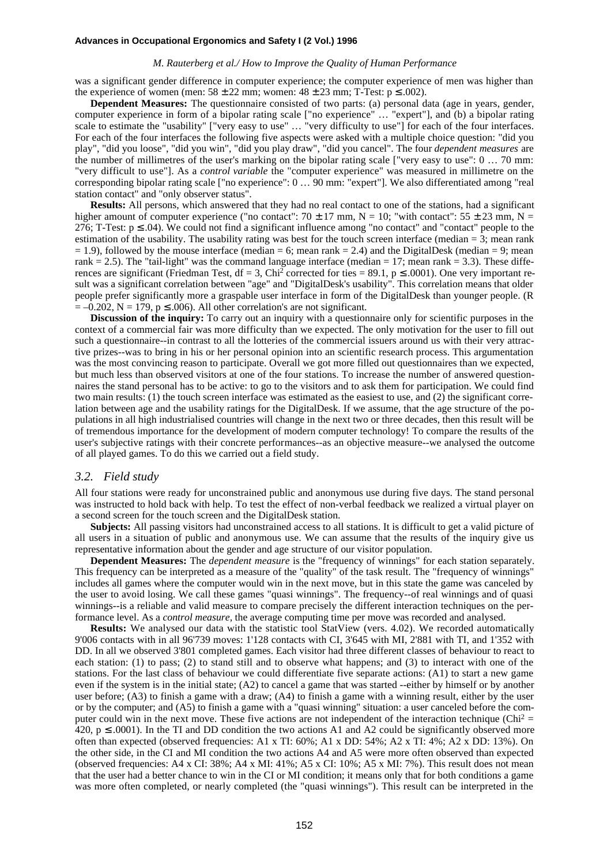#### *M. Rauterberg et al./ How to Improve the Quality of Human Performance*

was a significant gender difference in computer experience; the computer experience of men was higher than the experience of women (men:  $58 \pm 22$  mm; women:  $48 \pm 23$  mm; T-Test:  $p \le 0.002$ ).

**Dependent Measures:** The questionnaire consisted of two parts: (a) personal data (age in years, gender, computer experience in form of a bipolar rating scale ["no experience" … "expert"], and (b) a bipolar rating scale to estimate the "usability" ["very easy to use" … "very difficulty to use"] for each of the four interfaces. For each of the four interfaces the following five aspects were asked with a multiple choice question: "did you play", "did you loose", "did you win", "did you play draw", "did you cancel". The four *dependent measures* are the number of millimetres of the user's marking on the bipolar rating scale ["very easy to use": 0 … 70 mm: "very difficult to use"]. As a *control variable* the "computer experience" was measured in millimetre on the corresponding bipolar rating scale ["no experience": 0 … 90 mm: "expert"]. We also differentiated among "real station contact" and "only observer status".

**Results:** All persons, which answered that they had no real contact to one of the stations, had a significant higher amount of computer experience ("no contact":  $70 \pm 17$  mm, N = 10; "with contact":  $55 \pm 23$  mm, N = 276; T-Test:  $p \le 0.04$ ). We could not find a significant influence among "no contact" and "contact" people to the estimation of the usability. The usability rating was best for the touch screen interface (median  $= 3$ ; mean rank  $= 1.9$ ), followed by the mouse interface (median  $= 6$ ; mean rank  $= 2.4$ ) and the DigitalDesk (median  $= 9$ ; mean rank = 2.5). The "tail-light" was the command language interface (median = 17; mean rank = 3.3). These differences are significant (Friedman Test, df = 3, Chi<sup>2</sup> corrected for ties = 89.1,  $p \le 0.001$ ). One very important result was a significant correlation between "age" and "DigitalDesk's usability". This correlation means that older people prefer significantly more a graspable user interface in form of the DigitalDesk than younger people. (R  $= -0.202$ , N = 179, p  $\leq$  0.006). All other correlation's are not significant.

**Discussion of the inquiry:** To carry out an inquiry with a questionnaire only for scientific purposes in the context of a commercial fair was more difficulty than we expected. The only motivation for the user to fill out such a questionnaire--in contrast to all the lotteries of the commercial issuers around us with their very attractive prizes--was to bring in his or her personal opinion into an scientific research process. This argumentation was the most convincing reason to participate. Overall we got more filled out questionnaires than we expected, but much less than observed visitors at one of the four stations. To increase the number of answered questionnaires the stand personal has to be active: to go to the visitors and to ask them for participation. We could find two main results: (1) the touch screen interface was estimated as the easiest to use, and (2) the significant correlation between age and the usability ratings for the DigitalDesk. If we assume, that the age structure of the populations in all high industrialised countries will change in the next two or three decades, then this result will be of tremendous importance for the development of modern computer technology! To compare the results of the user's subjective ratings with their concrete performances--as an objective measure--we analysed the outcome of all played games. To do this we carried out a field study.

#### *3.2. Field study*

All four stations were ready for unconstrained public and anonymous use during five days. The stand personal was instructed to hold back with help. To test the effect of non-verbal feedback we realized a virtual player on a second screen for the touch screen and the DigitalDesk station.

**Subjects:** All passing visitors had unconstrained access to all stations. It is difficult to get a valid picture of all users in a situation of public and anonymous use. We can assume that the results of the inquiry give us representative information about the gender and age structure of our visitor population.

**Dependent Measures:** The *dependent measure* is the "frequency of winnings" for each station separately. This frequency can be interpreted as a measure of the "quality" of the task result. The "frequency of winnings" includes all games where the computer would win in the next move, but in this state the game was canceled by the user to avoid losing. We call these games "quasi winnings". The frequency--of real winnings and of quasi winnings--is a reliable and valid measure to compare precisely the different interaction techniques on the performance level. As a *control measure,* the average computing time per move was recorded and analysed.

**Results:** We analysed our data with the statistic tool StatView (vers. 4.02). We recorded automatically 9'006 contacts with in all 96'739 moves: 1'128 contacts with CI, 3'645 with MI, 2'881 with TI, and 1'352 with DD. In all we observed 3'801 completed games. Each visitor had three different classes of behaviour to react to each station: (1) to pass; (2) to stand still and to observe what happens; and (3) to interact with one of the stations. For the last class of behaviour we could differentiate five separate actions: (A1) to start a new game even if the system is in the initial state; (A2) to cancel a game that was started --either by himself or by another user before; (A3) to finish a game with a draw; (A4) to finish a game with a winning result, either by the user or by the computer; and (A5) to finish a game with a "quasi winning" situation: a user canceled before the computer could win in the next move. These five actions are not independent of the interaction technique (Chi<sup>2</sup> = 420,  $p \le 0.001$ ). In the TI and DD condition the two actions A1 and A2 could be significantly observed more often than expected (observed frequencies: A1 x TI: 60%; A1 x DD: 54%; A2 x TI: 4%; A2 x DD: 13%). On the other side, in the CI and MI condition the two actions A4 and A5 were more often observed than expected (observed frequencies: A4 x CI: 38%; A4 x MI: 41%; A5 x CI: 10%; A5 x MI: 7%). This result does not mean that the user had a better chance to win in the CI or MI condition; it means only that for both conditions a game was more often completed, or nearly completed (the "quasi winnings"). This result can be interpreted in the